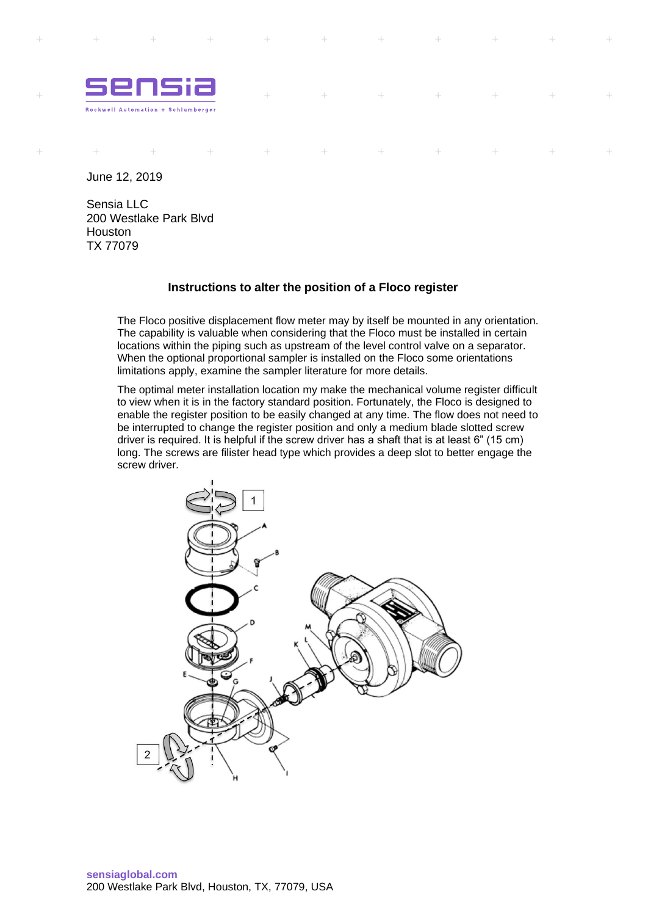

 $\rightarrow$ 

 $\rightarrow$ 

 $\rightarrow$ 

 $\pm$ 

June 12, 2019

 $\perp$ 

 $\rightarrow$ 

 $\pm$ 

Sensia LLC 200 Westlake Park Blvd Houston TX 77079

## **Instructions to alter the position of a Floco register**

 $\pm$ 

 $\frac{1}{2} \frac{1}{2} \frac{1}{2}$ 

 $\rightarrow$ 

 $\sim$ 

 $\downarrow$ 

The Floco positive displacement flow meter may by itself be mounted in any orientation. The capability is valuable when considering that the Floco must be installed in certain locations within the piping such as upstream of the level control valve on a separator. When the optional proportional sampler is installed on the Floco some orientations limitations apply, examine the sampler literature for more details.

The optimal meter installation location my make the mechanical volume register difficult to view when it is in the factory standard position. Fortunately, the Floco is designed to enable the register position to be easily changed at any time. The flow does not need to be interrupted to change the register position and only a medium blade slotted screw driver is required. It is helpful if the screw driver has a shaft that is at least 6" (15 cm) long. The screws are filister head type which provides a deep slot to better engage the screw driver.